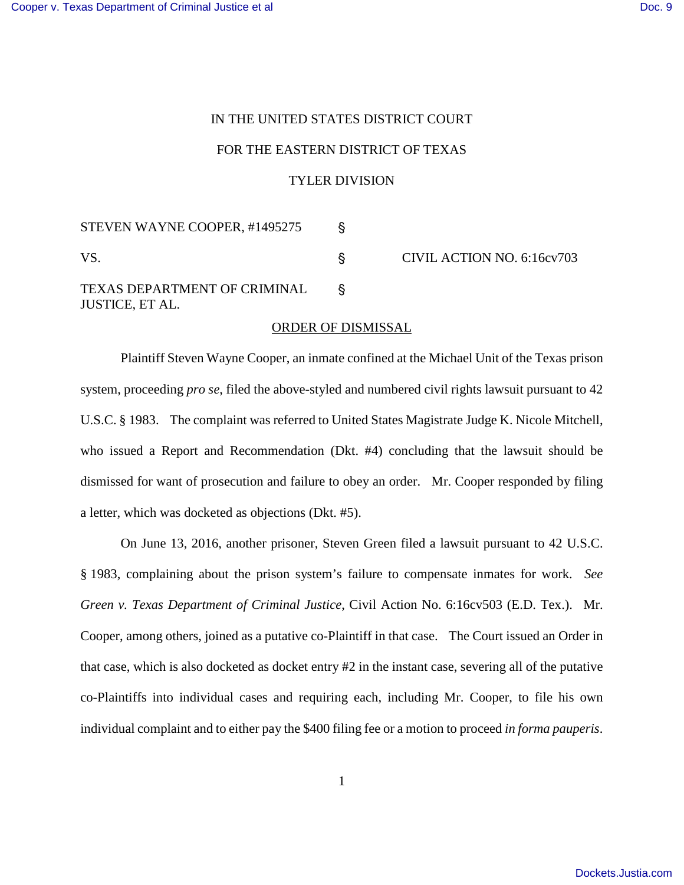## IN THE UNITED STATES DISTRICT COURT FOR THE EASTERN DISTRICT OF TEXAS TYLER DIVISION

STEVEN WAYNE COOPER, #1495275 ' VS. S CIVIL ACTION NO. 6:16cv703 TEXAS DEPARTMENT OF CRIMINAL ' JUSTICE, ET AL.

## ORDER OF DISMISSAL

Plaintiff Steven Wayne Cooper, an inmate confined at the Michael Unit of the Texas prison system, proceeding *pro se*, filed the above-styled and numbered civil rights lawsuit pursuant to 42 U.S.C. § 1983. The complaint was referred to United States Magistrate Judge K. Nicole Mitchell, who issued a Report and Recommendation (Dkt. #4) concluding that the lawsuit should be dismissed for want of prosecution and failure to obey an order. Mr. Cooper responded by filing a letter, which was docketed as objections (Dkt. #5).

On June 13, 2016, another prisoner, Steven Green filed a lawsuit pursuant to 42 U.S.C. § 1983, complaining about the prison system's failure to compensate inmates for work. *See Green v. Texas Department of Criminal Justice*, Civil Action No. 6:16cv503 (E.D. Tex.). Mr. Cooper, among others, joined as a putative co-Plaintiff in that case. The Court issued an Order in that case, which is also docketed as docket entry #2 in the instant case, severing all of the putative co-Plaintiffs into individual cases and requiring each, including Mr. Cooper, to file his own individual complaint and to either pay the \$400 filing fee or a motion to proceed *in forma pauperis*.